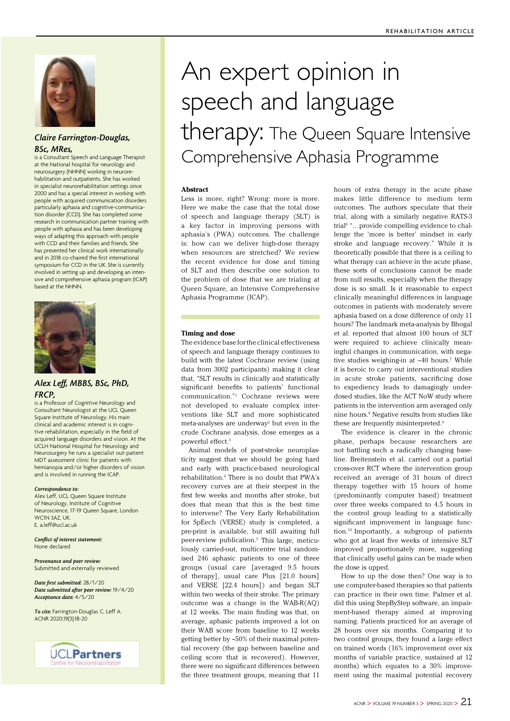

## *Claire Farrington-Douglas, BSc, MRes,*

is a Consultant Speech and Language Therapist at the National hospital for neurology and neurosurgery (NHNN) working in neurorehabilitation and outpatients. She has worked in specialist neurorehabilitation settings since 2000 and has a special interest in working with people with acquired communication disorders particularly aphasia and cognitive-communication disorder (CCD). She has completed some research in communication partner training with people with aphasia and has been developing ways of adapting this approach with people with CCD and their families and friends. She has presented her clinical work internationally and in 2018 co-chaired the first international symposium for CCD in the UK. She is currently involved in setting up and developing an intensive and comprehensive aphasia program (ICAP) based at the NHNN.



### *Alex Leff, MBBS, BSc, PhD, FRCP,*

is a Professor of Cognitive Neurology and Consultant Neurologist at the UCL Queen Square Institute of Neurology. His main clinical and academic interest is in cognitive rehabilitation, especially in the field of acquired language disorders and vision. At the UCLH National Hospital for Neurology and Neurosurgery he runs a specialist out-patient MDT assessment clinic for patients with hemianopia and/or higher disorders of vision and is involved in running the ICAP.

#### *Correspondence to:*

Alex Leff, UCL Queen Square Institute of Neurology, Institute of Cognitive Neuroscience, 17-19 Queen Square, London WCIN 3AZ, UK. E. a.leff@ucl.ac.uk

*Conflict of interest statement:*  None declared

*Provenance and peer review:*  Submitted and externally reviewed

*Date first submitted:* 28/1/20 *Date submitted after peer review:* 19/4/20 *Acceptance date:* 4/5/20

*To cite:* Farrington-Douglas C, Leff A. ACNR 2020;19(3):18-20



# An expert opinion in speech and language therapy: The Queen Square Intensive Comprehensive Aphasia Programme

#### **Abstract**

Less is more, right? Wrong: more is more. Here we make the case that the total dose of speech and language therapy (SLT) is a key factor in improving persons with aphasia's (PWA) outcomes. The challenge is: how can we deliver high-dose therapy when resources are stretched? We review the recent evidence for dose and timing of SLT and then describe one solution to the problem of dose that we are trialing at Queen Square, an Intensive Comprehensive Aphasia Programme (ICAP).

#### **Timing and dose**

The evidence base for the clinical effectiveness of speech and language therapy continues to build with the latest Cochrane review (using data from 3002 participants) making it clear that, "SLT results in clinically and statistically significant benefits to patients' functional communication."1 Cochrane reviews were not developed to evaluate complex interventions like SLT and more sophisticated meta-analyses are underway<sup>2</sup> but even in the crude Cochrane analysis, dose emerges as a powerful effect.3

Animal models of post-stroke neuroplasticity suggest that we should be going hard and early with practice-based neurological rehabilitation.4 There is no doubt that PWA's recovery curves are at their steepest in the first few weeks and months after stroke, but does that mean that this is the best time to intervene? The Very Early Rehabilitation for SpEech (VERSE) study is completed, a pre-print is available, but still awaiting full peer-review publication.5 This large, meticulously carried-out, multicentre trial randomised 246 aphasic patients to one of three groups (usual care [averaged 9.5 hours of therapy], usual care Plus [21.0 hours] and VERSE [22.4 hours]) and began SLT within two weeks of their stroke. The primary outcome was a change in the WAB-R(AQ) at 12 weeks. The main finding was that, on average, aphasic patients improved a lot on their WAB score from baseline to 12 weeks getting better by ~50% of their maximal potential recovery (the gap between baseline and ceiling score that is recovered). However, there were no significant differences between the three treatment groups, meaning that 11

hours of extra therapy in the acute phase makes little difference to medium term outcomes. The authors speculate that their trial, along with a similarly negative RATS-3 trial<sup>6</sup> "...provide compelling evidence to challenge the 'more is better' mindset in early stroke and language recovery." While it is theoretically possible that there is a ceiling to what therapy can achieve in the acute phase, these sorts of conclusions cannot be made from null results, especially when the therapy dose is so small. Is it reasonable to expect clinically meaningful differences in language outcomes in patients with moderately severe aphasia based on a dose difference of only 11 hours? The landmark meta-analysis by Bhogal et al. reported that almost 100 hours of SLT were required to achieve clinically meaningful changes in communication, with negative studies weighing-in at ~40 hours.<sup>7</sup> While it is heroic to carry out interventional studies in acute stroke patients, sacrificing dose to expediency leads to damagingly underdosed studies, like the ACT NoW study where patients in the intervention arm averaged only nine hours.8 Negative results from studies like these are frequently misinterpreted.<sup>9</sup>

The evidence is clearer in the chronic phase, perhaps because researchers are not battling such a radically changing baseline. Breitenstein et al. carried out a partial cross-over RCT where the intervention group received an average of 31 hours of direct therapy together with 15 hours of home (predominantly computer based) treatment over three weeks compared to 4.5 hours in the control group leading to a statistically significant improvement in language function.10 Importantly, a subgroup of patients who got at least five weeks of intensive SLT improved proportionately more, suggesting that clinically useful gains can be made when the dose is upped.

How to up the dose then? One way is to use computer-based therapies so that patients can practice in their own time. Palmer et al. did this using StepByStep software, an impairment-based therapy aimed at improving naming. Patients practiced for an average of 28 hours over six months. Comparing it to two control groups, they found a large effect on trained words (16% improvement over six months of variable practice, sustained at 12 months) which equates to a 30% improvement using the maximal potential recovery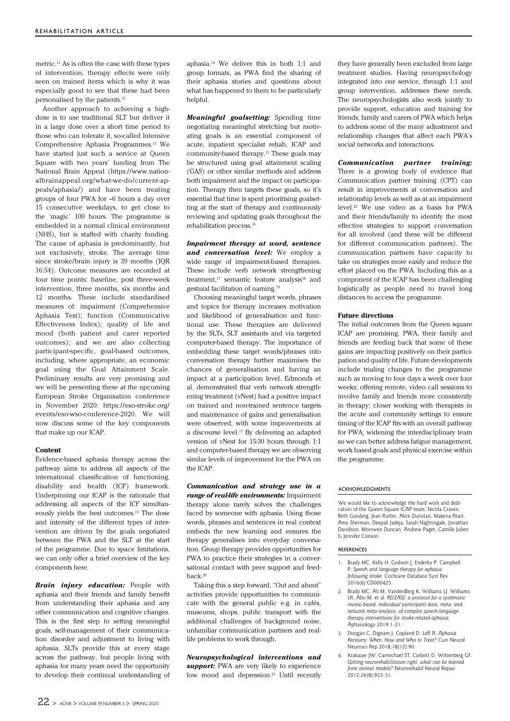metric.11 As is often the case with these types of intervention, therapy effects were only seen on trained items which is why it was especially good to see that these had been personalised by the patients.12

Another approach to achieving a highdose is to use traditional SLT but deliver it in a large dose over a short time period to those who can tolerate it, so-called Intensive Comprehensive Aphasia Programmes.13 We have started just such a service at Queen Square with two years' funding from The National Brain Appeal (https://www.nationalbrainappeal.org/what-we-do/current-appeals/aphasia/) and have been treating groups of four PWA for ~6 hours a day over 15 consecutive weekdays, to get close to the 'magic' 100 hours. The programme is embedded in a normal clinical environment (NHS), but is staffed with charity funding. The cause of aphasia is predominantly, but not exclusively, stroke. The average time since stroke/brain injury is 39 months (IQR 16:54). Outcome measures are recorded at four time points: baseline, post three-week intervention, three months, six months and 12 months. These include standardised measures of: impairment (Comprehensive Aphasia Test); function (Communicative Effectiveness Index); quality of life and mood (both patient and carer reported outcomes); and we are also collecting participant-specific, goal-based outcomes, including, where appropriate, an economic goal using the Goal Attainment Scale. Preliminary results are very promising and we will be presenting these at the upcoming European Stroke Organisation conference in November 2020: https://eso-stroke.org/ events/eso-wso-conference-2020. We will now discuss some of the key components that make up our ICAP.

#### **Content**

Evidence-based aphasia therapy across the pathway aims to address all aspects of the international classification of functioning, disability and health (ICF) framework. Underpinning our ICAP is the rationale that addressing all aspects of the ICF simultaneously yields the best outcomes.13 The dose and intensity of the different types of intervention are driven by the goals negotiated between the PWA and the SLT at the start of the programme. Due to space limitations, we can only offer a brief overview of the key components here.

*Brain injury education:* People with aphasia and their friends and family benefit from understanding their aphasia and any other communication and cognitive changes. This is the first step to setting meaningful goals, self-management of their communication disorder and adjustment to living with aphasia. SLTs provide this at every stage across the pathway, but people living with aphasia for many years need the opportunity to develop their continual understanding of aphasia.14 We deliver this in both 1:1 and group formats, as PWA find the sharing of their aphasia stories and questions about what has happened to them to be particularly helpful.

*Meaningful goalsetting:* Spending time negotiating meaningful stretching but motivating goals is an essential component of acute, inpatient specialist rehab, ICAP and community-based therapy.15 These goals may be structured using goal attainment scaling (GAS) or other similar methods and address both impairment and the impact on participation. Therapy then targets these goals, so it's essential that time is spent prioritising goalsetting at the start of therapy and continuously reviewing and updating goals throughout the rehabilitation process.16

*Impairment therapy at word, sentence and conversation level:* We employ a wide range of impairment-based therapies. These include verb network strengthening treatment, $17$  semantic feature analysis<sup>18</sup> and gestural facilitation of naming.19

Choosing meaningful target words, phrases and topics for therapy increases motivation and likelihood of generalisation and functional use. These therapies are delivered by the SLTs, SLT assistants and via targeted computer-based therapy. The importance of embedding these target words/phrases into conversation therapy further maximises the chances of generalisation and having an impact at a participation level. Edmonds et al. demonstrated that verb network strengthening treatment (vNest) had a positive impact on trained and non-trained sentence targets and maintenance of gains and generalisation were observed, with some improvements at a discourse level.17 By delivering an adapted version of vNest for 15-30 hours through 1:1 and computer-based therapy we are observing similar levels of improvement for the PWA on the ICAP.

*Communication and strategy use in a range of real-life environments:* Impairment therapy alone rarely solves the challenges faced by someone with aphasia. Using those words, phrases and sentences in real context embeds the new learning and ensures the therapy generalises into everyday conversation. Group therapy provides opportunities for PWA to practice their strategies in a conversational contact with peer support and feedback.20

Taking this a step forward, "Out and about" activities provide opportunities to communicate with the general public e.g. in cafés, museums, shops, public transport with the additional challenges of background noise, unfamiliar communication partners and reallife problems to work through.

*Neuropsychological interventions and support:* PWA are very likely to experience low mood and depression.<sup>21</sup> Until recently

they have generally been excluded from large treatment studies. Having neuropsychology integrated into our service, through 1:1 and group intervention, addresses these needs. The neuropsychologists also work jointly to provide support, education and training for friends, family and carers of PWA which helps to address some of the many adjustment and relationship changes that affect each PWA's social networks and interactions.

*Communication partner training:*  There is a growing body of evidence that Communication partner training (CPT) can result in improvements at conversation and relationship levels as well as at an impairment level.22 We use video as a basis for PWA and their friends/family to identify the most effective strategies to support conversation for all involved (and these will be different for different communication partners). The communication partners have capacity to take on strategies more easily and reduce the effort placed on the PWA. Including this as a component of the ICAP has been challenging logistically as people need to travel long distances to access the programme.

#### **Future directions**

The initial outcomes from the Queen square ICAP are promising. PWA, their family and friends are feeding back that some of these gains are impacting positively on their participation and quality of life. Future developments include trialing changes to the programme such as moving to four days a week over four weeks; offering remote, video call sessions to involve family and friends more consistently in therapy; closer working with therapists in the acute and community settings to ensure timing of the ICAP fits with an overall pathway for PWA; widening the interdisciplinary team so we can better address fatigue management, work based goals and physical exercise within the programme.

#### ACKNOWLEDGMENTS

We would like to acknowledge the hard work and dedication of the Queen Square ICAP team: Nicola Craven, Beth Gooding, Jean Rutter, Alice Dunstan, Makena Peart, Amy Sherman, Deepali Jadeja, Sarah Nightingale, Jonathan Davidson, Morvwen Duncan, Andrew Paget, Camille Julien & Jennifer Crinion.

#### REFERENCES

- Brady MC, Kelly H, Godwin J, Enderby P, Campbell P. *Speech and language therapy for aphasia following stroke.* Cochrane Database Syst Rev 2016(6):CD000425.
- 2. Brady MC, Ali M, VandenBerg K, Williams LJ, Williams LR, Abo M, et al. *RELEASE: a protocol for a systematic review based, individual participant data, meta- and network meta-analysis, of complex speech-language therapy interventions for stroke-related aphasia.*  Aphasiology 2019:1-21.
- 3. Doogan C, Dignam J, Copland D, Leff A. *Aphasia Recovery: When, How and Who to Treat?* Curr Neurol Neurosci Rep 2018;18(12):90.
- 4. Krakauer JW, Carmichael ST, Corbett D, Wittenberg GF. *Getting neurorehabilitation right: what can be learned from animal models?* Neurorehabil Neural Repair 2012;26(8):923-31.